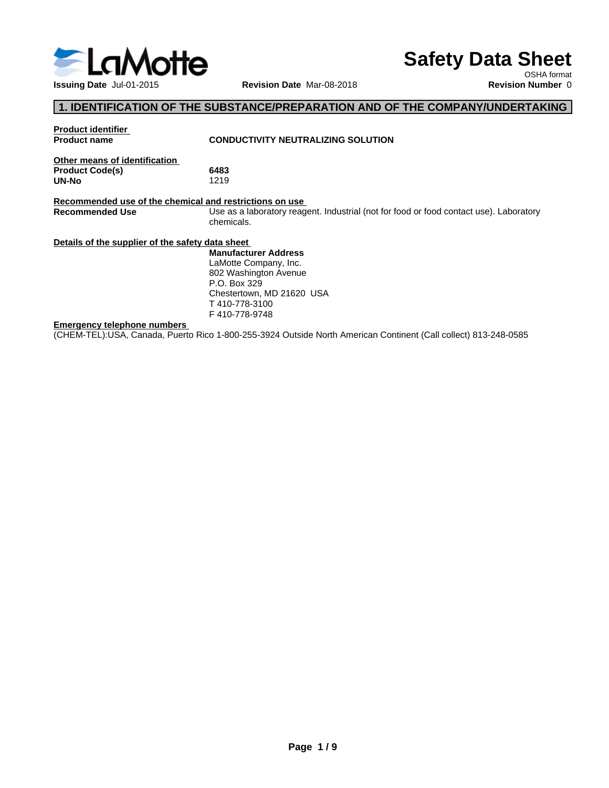

# **Safety Data Sheet**

OSHA format

## **1. IDENTIFICATION OF THE SUBSTANCE/PREPARATION AND OF THE COMPANY/UNDERTAKING**

| <b>Product identifier</b>                               |                                                                                                                 |
|---------------------------------------------------------|-----------------------------------------------------------------------------------------------------------------|
| Product name                                            | <b>CONDUCTIVITY NEUTRALIZING SOLUTION</b>                                                                       |
| Other means of identification                           |                                                                                                                 |
| <b>Product Code(s)</b>                                  | 6483                                                                                                            |
| UN-No                                                   | 1219                                                                                                            |
|                                                         |                                                                                                                 |
| Recommended use of the chemical and restrictions on use |                                                                                                                 |
| Recommended Use                                         | Use as a laboratory reagent. Industrial (not for food or food contact use). Laboratory                          |
|                                                         | chemicals.                                                                                                      |
|                                                         |                                                                                                                 |
| Details of the supplier of the safety data sheet        |                                                                                                                 |
|                                                         | <b>Manufacturer Address</b>                                                                                     |
|                                                         | LaMotte Company, Inc.                                                                                           |
|                                                         | 802 Washington Avenue                                                                                           |
|                                                         | P.O. Box 329                                                                                                    |
|                                                         | Chestertown, MD 21620 USA                                                                                       |
|                                                         | T410-778-3100                                                                                                   |
|                                                         | F410-778-9748                                                                                                   |
| Emergency telephone numbers                             |                                                                                                                 |
|                                                         | (CHEM-TEL):USA, Canada, Puerto Rico 1-800-255-3924 Outside North American Continent (Call collect) 813-248-0585 |
|                                                         |                                                                                                                 |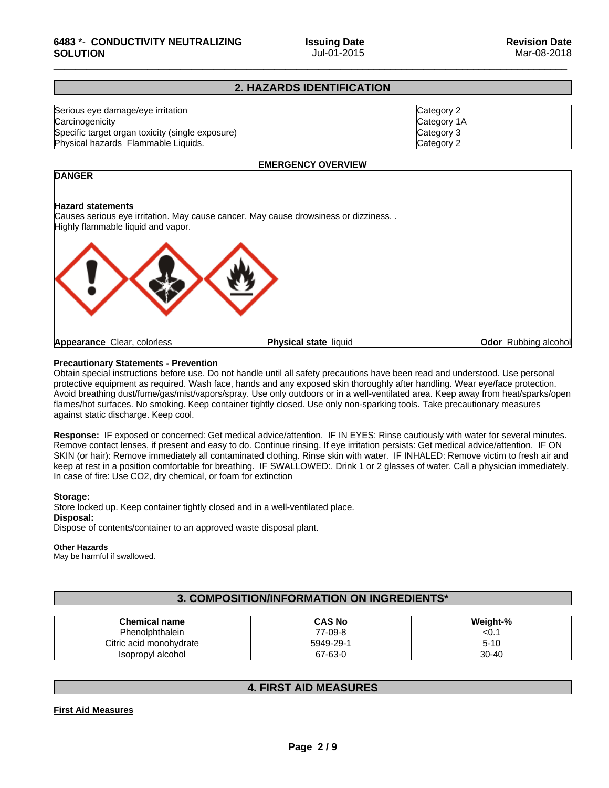### **2. HAZARDS IDENTIFICATION**

| Serious eye damage/eye irritation                | lCategorv 2  |
|--------------------------------------------------|--------------|
| Carcinogenicity                                  | ICategory 1A |
| Specific target organ toxicity (single exposure) | ICategory 3  |
| Physical hazards Flammable Liquids.              | lCategorv 2  |

#### **EMERGENCY OVERVIEW**

### **DANGER**

#### **Hazard statements**

Causes serious eye irritation. May cause cancer. May cause drowsiness or dizziness. . Highly flammable liquid and vapor.



#### **Precautionary Statements - Prevention**

Obtain special instructions before use. Do not handle until all safety precautions have been read and understood. Use personal protective equipment as required.Wash face, hands and any exposed skin thoroughly after handling. Wear eye/face protection. Avoid breathing dust/fume/gas/mist/vapors/spray. Use only outdoors or in a well-ventilated area. Keep away from heat/sparks/open flames/hot surfaces. No smoking. Keep container tightly closed. Use only non-sparking tools. Take precautionary measures against static discharge. Keep cool.

**Response:** IF exposed orconcerned: Get medical advice/attention. IF IN EYES: Rinse cautiously with water for several minutes. Remove contact lenses, if present and easy to do. Continue rinsing. If eye irritation persists: Get medical advice/attention. IF ON SKIN (or hair): Remove immediately all contaminated clothing. Rinse skin with water. IF INHALED: Remove victim to fresh air and keep at rest in a position comfortable for breathing. IF SWALLOWED:. Drink 1 or 2 glasses of water. Call a physician immediately. In case of fire: Use CO2, dry chemical, or foam for extinction

#### **Storage:**

Store locked up. Keep container tightly closed and in a well-ventilated place. **Disposal:** Dispose of contents/container to an approved waste disposal plant.

#### **Other Hazards**

May be harmful if swallowed.

### **3. COMPOSITION/INFORMATION ON INGREDIENTS\***

| <b>Chemical name</b>    | <b>CAS No</b> | Weight-%  |
|-------------------------|---------------|-----------|
| Phenolphthalein         | 7--09-8<br>77 | <b>w.</b> |
| Citric acid monohydrate | 5949-29-      | $5 - 10$  |
| Isopropyl alcohol       | 67-63-0       | $30 - 40$ |

#### **4. FIRST AID MEASURES**

#### **First Aid Measures**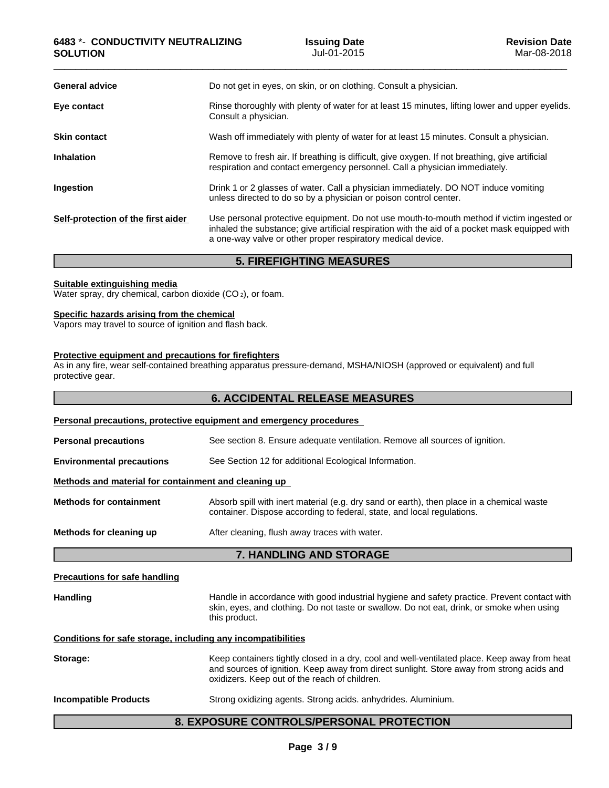| <b>General advice</b>              | Do not get in eyes, on skin, or on clothing. Consult a physician.                                                                                                                                                                                          |
|------------------------------------|------------------------------------------------------------------------------------------------------------------------------------------------------------------------------------------------------------------------------------------------------------|
| Eye contact                        | Rinse thoroughly with plenty of water for at least 15 minutes, lifting lower and upper eyelids.<br>Consult a physician.                                                                                                                                    |
| <b>Skin contact</b>                | Wash off immediately with plenty of water for at least 15 minutes. Consult a physician.                                                                                                                                                                    |
| <b>Inhalation</b>                  | Remove to fresh air. If breathing is difficult, give oxygen. If not breathing, give artificial<br>respiration and contact emergency personnel. Call a physician immediately.                                                                               |
| Ingestion                          | Drink 1 or 2 glasses of water. Call a physician immediately. DO NOT induce vomiting<br>unless directed to do so by a physician or poison control center.                                                                                                   |
| Self-protection of the first aider | Use personal protective equipment. Do not use mouth-to-mouth method if victim ingested or<br>inhaled the substance; give artificial respiration with the aid of a pocket mask equipped with<br>a one-way valve or other proper respiratory medical device. |

### **5. FIREFIGHTING MEASURES**

#### **Suitable extinguishing media**

Water spray, dry chemical, carbon dioxide (CO<sub>2</sub>), or foam.

#### **Specific hazards arising from the chemical**

Vapors may travel to source of ignition and flash back.

### **Protective equipment and precautions for firefighters**

As in any fire, wear self-contained breathing apparatus pressure-demand, MSHA/NIOSH (approved or equivalent) and full protective gear.

|                                                              | <b>6. ACCIDENTAL RELEASE MEASURES</b>                                                                                                                                                                                                      |  |  |
|--------------------------------------------------------------|--------------------------------------------------------------------------------------------------------------------------------------------------------------------------------------------------------------------------------------------|--|--|
|                                                              | Personal precautions, protective equipment and emergency procedures                                                                                                                                                                        |  |  |
| <b>Personal precautions</b>                                  | See section 8. Ensure adequate ventilation. Remove all sources of ignition.                                                                                                                                                                |  |  |
| <b>Environmental precautions</b>                             | See Section 12 for additional Ecological Information.                                                                                                                                                                                      |  |  |
| Methods and material for containment and cleaning up         |                                                                                                                                                                                                                                            |  |  |
| <b>Methods for containment</b>                               | Absorb spill with inert material (e.g. dry sand or earth), then place in a chemical waste<br>container. Dispose according to federal, state, and local regulations.                                                                        |  |  |
| Methods for cleaning up                                      | After cleaning, flush away traces with water.                                                                                                                                                                                              |  |  |
|                                                              | 7. HANDLING AND STORAGE                                                                                                                                                                                                                    |  |  |
| <b>Precautions for safe handling</b>                         |                                                                                                                                                                                                                                            |  |  |
| <b>Handling</b>                                              | Handle in accordance with good industrial hygiene and safety practice. Prevent contact with<br>skin, eyes, and clothing. Do not taste or swallow. Do not eat, drink, or smoke when using<br>this product.                                  |  |  |
| Conditions for safe storage, including any incompatibilities |                                                                                                                                                                                                                                            |  |  |
| Storage:                                                     | Keep containers tightly closed in a dry, cool and well-ventilated place. Keep away from heat<br>and sources of ignition. Keep away from direct sunlight. Store away from strong acids and<br>oxidizers. Keep out of the reach of children. |  |  |
| <b>Incompatible Products</b>                                 | Strong oxidizing agents. Strong acids. anhydrides. Aluminium.                                                                                                                                                                              |  |  |
|                                                              | <b>8. EXPOSURE CONTROLS/PERSONAL PROTECTION</b>                                                                                                                                                                                            |  |  |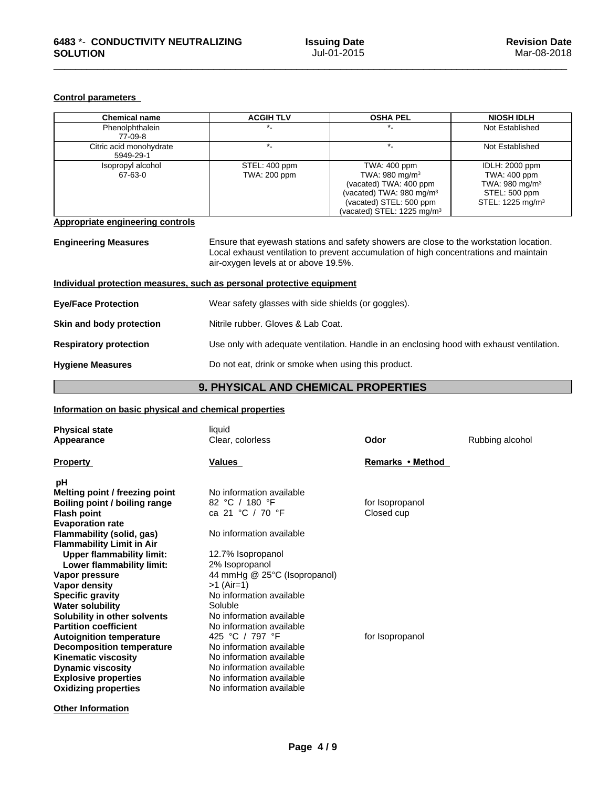#### **Control parameters**

| <b>Chemical name</b>                                                  | <b>ACGIH TLV</b>                                                                          | <b>OSHA PEL</b>                                                                                                                                                                 | <b>NIOSH IDLH</b>                                                                                                    |  |
|-----------------------------------------------------------------------|-------------------------------------------------------------------------------------------|---------------------------------------------------------------------------------------------------------------------------------------------------------------------------------|----------------------------------------------------------------------------------------------------------------------|--|
| Phenolphthalein<br>77-09-8                                            | $\star$                                                                                   |                                                                                                                                                                                 | Not Established                                                                                                      |  |
| Citric acid monohydrate<br>5949-29-1                                  | $\star$                                                                                   | $\star$                                                                                                                                                                         | Not Established                                                                                                      |  |
| Isopropyl alcohol<br>67-63-0                                          | STEL: 400 ppm<br>TWA: 200 ppm                                                             | TWA: 400 ppm<br>TWA: 980 mg/m <sup>3</sup><br>(vacated) TWA: 400 ppm<br>(vacated) TWA: 980 mg/m <sup>3</sup><br>(vacated) STEL: 500 ppm<br>(vacated) STEL: 1225 mg/m $3$        | <b>IDLH: 2000 ppm</b><br>TWA: 400 ppm<br>TWA: 980 mg/m <sup>3</sup><br>STEL: 500 ppm<br>STEL: 1225 mg/m <sup>3</sup> |  |
| <b>Appropriate engineering controls</b>                               |                                                                                           |                                                                                                                                                                                 |                                                                                                                      |  |
| <b>Engineering Measures</b>                                           | air-oxygen levels at or above 19.5%.                                                      | Ensure that eyewash stations and safety showers are close to the workstation location.<br>Local exhaust ventilation to prevent accumulation of high concentrations and maintain |                                                                                                                      |  |
| Individual protection measures, such as personal protective equipment |                                                                                           |                                                                                                                                                                                 |                                                                                                                      |  |
| <b>Eye/Face Protection</b>                                            | Wear safety glasses with side shields (or goggles).                                       |                                                                                                                                                                                 |                                                                                                                      |  |
| Skin and body protection                                              | Nitrile rubber. Gloves & Lab Coat.                                                        |                                                                                                                                                                                 |                                                                                                                      |  |
| <b>Respiratory protection</b>                                         | Use only with adequate ventilation. Handle in an enclosing hood with exhaust ventilation. |                                                                                                                                                                                 |                                                                                                                      |  |
| <b>Hygiene Measures</b>                                               | Do not eat, drink or smoke when using this product.                                       |                                                                                                                                                                                 |                                                                                                                      |  |

### **9. PHYSICAL AND CHEMICAL PROPERTIES**

### **Information on basic physical and chemical properties**

| <b>Physical state</b><br>Appearance                                                                                                                                                                                                                                                                                                                  | liquid<br>Clear, colorless                                                                                                                                                                                                                                                                                 | Odor                          | Rubbing alcohol |
|------------------------------------------------------------------------------------------------------------------------------------------------------------------------------------------------------------------------------------------------------------------------------------------------------------------------------------------------------|------------------------------------------------------------------------------------------------------------------------------------------------------------------------------------------------------------------------------------------------------------------------------------------------------------|-------------------------------|-----------------|
| <b>Property</b>                                                                                                                                                                                                                                                                                                                                      | Values                                                                                                                                                                                                                                                                                                     | Remarks • Method              |                 |
| рH<br>Melting point / freezing point<br>Boiling point / boiling range<br><b>Flash point</b><br><b>Evaporation rate</b><br><b>Flammability (solid, gas)</b><br><b>Flammability Limit in Air</b><br><b>Upper flammability limit:</b><br>Lower flammability limit:                                                                                      | No information available<br>82 °C / 180 °F<br>ca 21 °C / 70 °F<br>No information available<br>12.7% Isopropanol<br>2% Isopropanol                                                                                                                                                                          | for Isopropanol<br>Closed cup |                 |
| Vapor pressure<br>Vapor density<br><b>Specific gravity</b><br><b>Water solubility</b><br>Solubility in other solvents<br><b>Partition coefficient</b><br><b>Autoignition temperature</b><br><b>Decomposition temperature</b><br><b>Kinematic viscosity</b><br><b>Dynamic viscosity</b><br><b>Explosive properties</b><br><b>Oxidizing properties</b> | 44 mmHg @ 25°C (Isopropanol)<br>$>1$ (Air=1)<br>No information available<br>Soluble<br>No information available<br>No information available<br>425 °C / 797 °F<br>No information available<br>No information available<br>No information available<br>No information available<br>No information available | for Isopropanol               |                 |

**Other Information**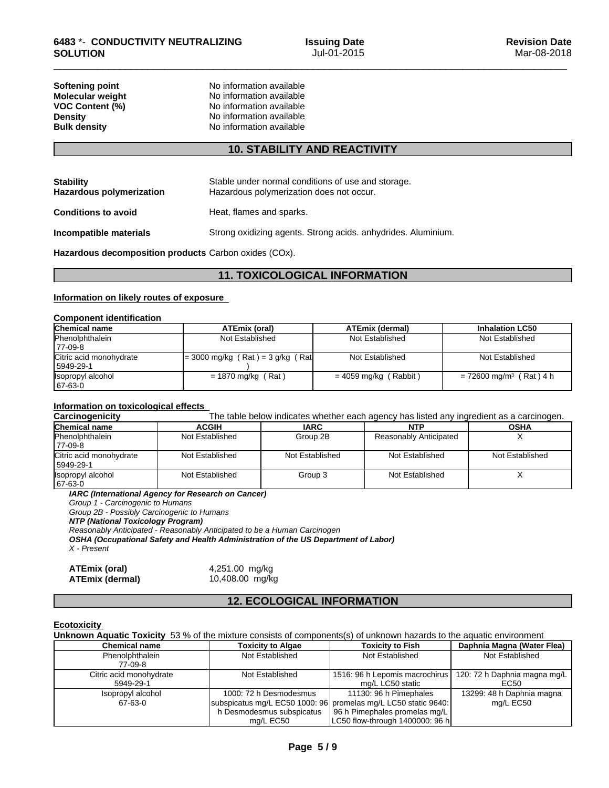**Softening point** No information available **Molecular weight Molecular <b>weight** No information available<br> **VOC Content (%)** No information available **VOC Content (%)** No information available **Density Constitution No information available**<br> **Bulk density No information available No information available** 

### **10. STABILITY AND REACTIVITY**

| <b>Stability</b><br><b>Hazardous polymerization</b> | Stable under normal conditions of use and storage.<br>Hazardous polymerization does not occur. |
|-----------------------------------------------------|------------------------------------------------------------------------------------------------|
| <b>Conditions to avoid</b>                          | Heat, flames and sparks.                                                                       |
| Incompatible materials                              | Strong oxidizing agents. Strong acids, anhydrides. Aluminium.                                  |

**Hazardous decomposition products** Carbon oxides (COx).

### **11. TOXICOLOGICAL INFORMATION**

#### **Information on likely routes of exposure**

#### **Component identification**

| Chemical name           | ATEmix (oral)                         | <b>ATEmix (dermal)</b>  | <b>Inhalation LC50</b>                |
|-------------------------|---------------------------------------|-------------------------|---------------------------------------|
| Phenolphthalein         | Not Established                       | Not Established         | Not Established                       |
| 77-09-8                 |                                       |                         |                                       |
| Citric acid monohydrate | $= 3000$ mg/kg (Rat) = $3$ g/kg (Rat) | Not Established         | Not Established                       |
| 5949-29-1               |                                       |                         |                                       |
| Isopropyl alcohol       | $= 1870$ mg/kg (Rat)                  | $= 4059$ mg/kg (Rabbit) | $= 72600$ mg/m <sup>3</sup> (Rat) 4 h |
| 67-63-0                 |                                       |                         |                                       |

#### **Information on toxicological effects**

**Carcinogenicity** The table below indicates whether each agency has listed any ingredient as a carcinogen.

| Chemical name                          | <b>ACGIH</b>    | <b>IARC</b>     | <b>NTP</b>             | <b>OSHA</b>     |
|----------------------------------------|-----------------|-----------------|------------------------|-----------------|
| <b>Phenolphthalein</b><br>177-09-8     | Not Established | Group 2B        | Reasonably Anticipated |                 |
| Citric acid monohydrate<br>  5949-29-1 | Not Established | Not Established | Not Established        | Not Established |
| Isopropyl alcohol<br>67-63-0           | Not Established | Group 3         | Not Established        |                 |

*IARC (International Agency for Research on Cancer)*

*Group 1 - Carcinogenic to Humans*

*Group 2B - Possibly Carcinogenic to Humans*

*NTP (National Toxicology Program)*

*Reasonably Anticipated - Reasonably Anticipated to be a Human Carcinogen*

*OSHA (Occupational Safety and Health Administration of the US Department of Labor) X - Present*

| <b>ATEmix (oral)</b>   |  |
|------------------------|--|
| <b>ATEmix (dermal)</b> |  |

**ATEmix (oral)** 4,251.00 mg/kg **ATEmix (dermal)**10,408.00 mg/kg

### **12. ECOLOGICAL INFORMATION**

#### **Ecotoxicity**

**Unknown Aquatic Toxicity** 53 % of the mixture consists of components(s) of unknown hazards to the aquatic environment

| <b>Chemical name</b>    | <b>Toxicity to Algae</b>  | <b>Toxicity to Fish</b>                                        | Daphnia Magna (Water Flea)   |
|-------------------------|---------------------------|----------------------------------------------------------------|------------------------------|
| Phenolphthalein         | Not Established           | Not Established                                                | Not Established              |
| 77-09-8                 |                           |                                                                |                              |
| Citric acid monohydrate | Not Established           | 1516: 96 h Lepomis macrochirus I                               | 120: 72 h Daphnia magna mg/L |
| 5949-29-1               |                           | mg/L LC50 static                                               | EC50                         |
| Isopropyl alcohol       | 1000: 72 h Desmodesmus    | 11130: 96 h Pimephales                                         | 13299: 48 h Daphnia magna    |
| 67-63-0                 |                           | subspicatus mg/L EC50 1000: 96 promelas mg/L LC50 static 9640: | mg/L EC50                    |
|                         | h Desmodesmus subspicatus | 96 h Pimephales promelas mg/L                                  |                              |
|                         | mg/L EC50                 | [LC50 flow-through 1400000: 96 h]                              |                              |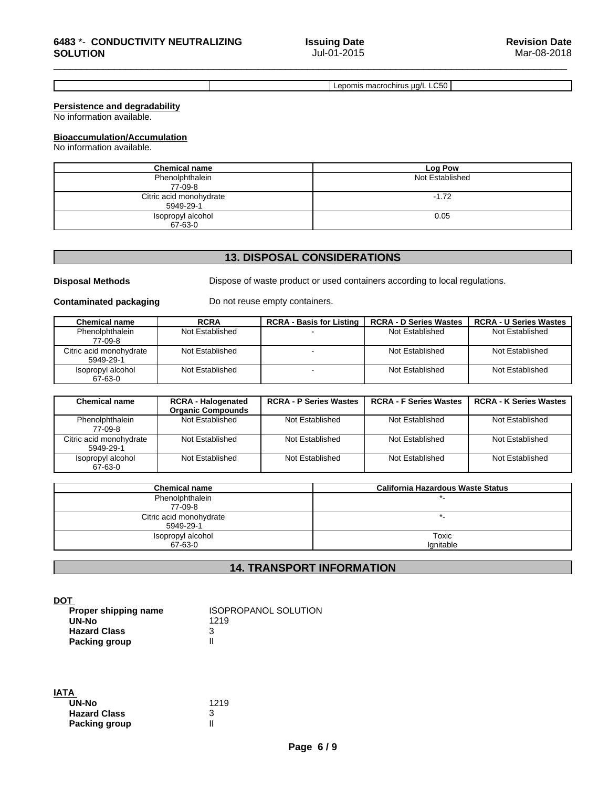Lepomis macrochirus µg/L LC50

#### **Persistence and degradability**

No information available.

#### **Bioaccumulation/Accumulation**

No information available.

| <b>Chemical name</b>                 | Log Pow         |
|--------------------------------------|-----------------|
| Phenolphthalein<br>77-09-8           | Not Established |
| Citric acid monohydrate<br>5949-29-1 | $-1.72$         |
| Isopropyl alcohol<br>67-63-0         | 0.05            |

### **13. DISPOSAL CONSIDERATIONS**

**Disposal Methods** Dispose of waste product or used containers according to local regulations.

**Contaminated packaging** Do not reuse empty containers.

| <b>Chemical name</b>                 | <b>RCRA</b>     | <b>RCRA - Basis for Listing</b> | <b>RCRA - D Series Wastes</b> | <b>RCRA - U Series Wastes</b> |
|--------------------------------------|-----------------|---------------------------------|-------------------------------|-------------------------------|
| Phenolphthalein<br>77-09-8           | Not Established |                                 | Not Established               | Not Established               |
| Citric acid monohydrate<br>5949-29-1 | Not Established |                                 | Not Established               | Not Established               |
| Isopropyl alcohol<br>67-63-0         | Not Established |                                 | Not Established               | Not Established               |

| <b>Chemical name</b>                 | <b>RCRA - Halogenated</b><br><b>Organic Compounds</b> | <b>RCRA - P Series Wastes</b> | <b>RCRA - F Series Wastes</b> | <b>RCRA - K Series Wastes</b> |
|--------------------------------------|-------------------------------------------------------|-------------------------------|-------------------------------|-------------------------------|
| Phenolphthalein<br>77-09-8           | Not Established                                       | Not Established               | Not Established               | Not Established               |
| Citric acid monohydrate<br>5949-29-1 | Not Established                                       | Not Established               | Not Established               | Not Established               |
| Isopropyl alcohol<br>67-63-0         | Not Established                                       | Not Established               | Not Established               | Not Established               |

| <b>Chemical name</b>    | California Hazardous Waste Status |
|-------------------------|-----------------------------------|
| Phenolphthalein         |                                   |
| 77-09-8                 |                                   |
| Citric acid monohydrate |                                   |
| 5949-29-1               |                                   |
| Isopropyl alcohol       | Toxic                             |
| 67-63-0                 | lgnitable                         |

### **14. TRANSPORT INFORMATION**

**DOT** 

| <u>.</u>             |                             |  |
|----------------------|-----------------------------|--|
| Proper shipping name | <b>ISOPROPANOL SOLUTION</b> |  |
| UN-No                | 1219                        |  |
| <b>Hazard Class</b>  |                             |  |
| <b>Packing group</b> |                             |  |

| <b>IATA</b>          |      |  |
|----------------------|------|--|
| UN-No                | 1219 |  |
| <b>Hazard Class</b>  | 3    |  |
| <b>Packing group</b> |      |  |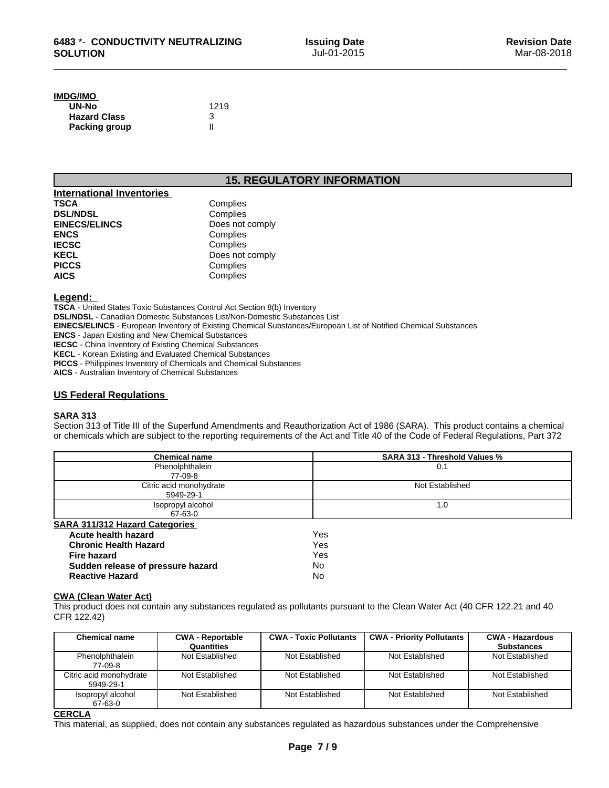### **IMDG/IMO**

| UN-No                | 1219 |
|----------------------|------|
| <b>Hazard Class</b>  |      |
| <b>Packing group</b> |      |

### **15. REGULATORY INFORMATION**

| <b>International Inventories</b> |                 |
|----------------------------------|-----------------|
| <b>TSCA</b>                      | Complies        |
| <b>DSL/NDSL</b>                  | Complies        |
| <b>EINECS/ELINCS</b>             | Does not comply |
| <b>ENCS</b>                      | Complies        |
| <b>IECSC</b>                     | Complies        |
| <b>KECL</b>                      | Does not comply |
| <b>PICCS</b>                     | Complies        |
| <b>AICS</b>                      | Complies        |

#### **Legend:**

**TSCA** - United States Toxic Substances Control Act Section 8(b) Inventory

**DSL/NDSL** - Canadian Domestic Substances List/Non-Domestic Substances List

**EINECS/ELINCS** - European Inventory of Existing Chemical Substances/European List of Notified Chemical Substances

**ENCS** - Japan Existing and New Chemical Substances

**IECSC** - China Inventory of Existing Chemical Substances

**KECL** - Korean Existing and Evaluated Chemical Substances

**PICCS** - Philippines Inventory of Chemicals and Chemical Substances

**AICS** - Australian Inventory of Chemical Substances

#### **US Federal Regulations**

#### **SARA 313**

Section 313 of Title III of the Superfund Amendments and Reauthorization Act of 1986 (SARA). This product contains a chemical or chemicals which are subject to the reporting requirements of the Act and Title 40 of the Code of Federal Regulations, Part 372

| <b>Chemical name</b>                  | <b>SARA 313 - Threshold Values %</b> |
|---------------------------------------|--------------------------------------|
| Phenolphthalein                       | 0.1                                  |
| 77-09-8                               |                                      |
| Citric acid monohydrate               | Not Established                      |
| 5949-29-1                             |                                      |
| Isopropyl alcohol                     | 1.0                                  |
| 67-63-0                               |                                      |
| <b>SARA 311/312 Hazard Categories</b> |                                      |
| Acute health hazard                   | Yes                                  |
| <b>Chronic Health Hazard</b>          | Yes                                  |

| UNIUNIU NEGILII NAZAI U           | 155 |  |
|-----------------------------------|-----|--|
| Fire hazard                       | Yes |  |
| Sudden release of pressure hazard | No  |  |
| <b>Reactive Hazard</b>            | No  |  |

#### **CWA** (Clean Water Act)

This product does not contain any substances regulated as pollutants pursuant to the Clean Water Act (40 CFR 122.21 and 40 CFR 122.42)

| <b>Chemical name</b>                 | <b>CWA - Reportable</b> | <b>CWA - Toxic Pollutants</b> | <b>CWA - Priority Pollutants</b> | <b>CWA - Hazardous</b> |
|--------------------------------------|-------------------------|-------------------------------|----------------------------------|------------------------|
|                                      | Quantities              |                               |                                  | <b>Substances</b>      |
| Phenolphthalein<br>77-09-8           | Not Established         | Not Established               | Not Established                  | Not Established        |
| Citric acid monohydrate<br>5949-29-1 | Not Established         | Not Established               | Not Established                  | Not Established        |
| Isopropyl alcohol<br>67-63-0         | Not Established         | Not Established               | Not Established                  | Not Established        |

#### **CERCLA**

This material, as supplied, does not contain any substances regulated as hazardous substances under the Comprehensive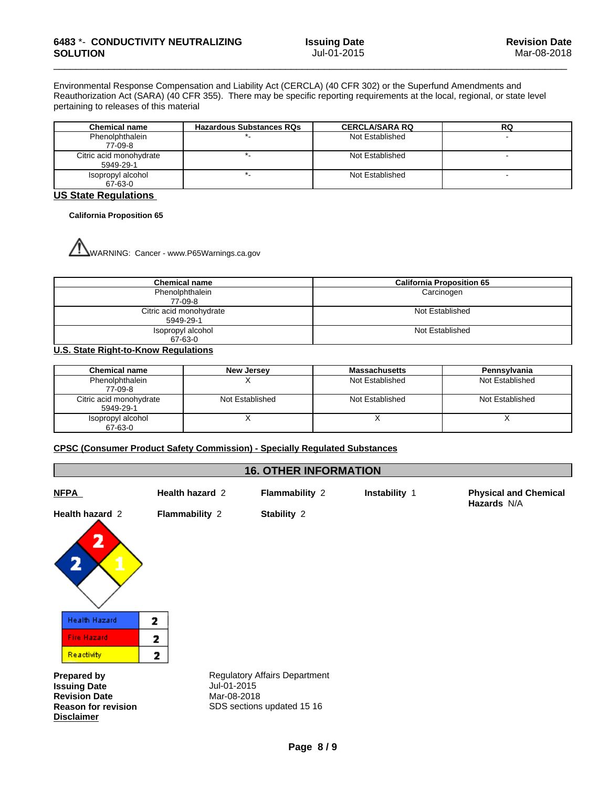**Hazards** N/A

Environmental Response Compensation and Liability Act (CERCLA) (40 CFR 302) or the Superfund Amendments and Reauthorization Act (SARA) (40 CFR 355). There may be specific reporting requirements at the local, regional, or state level pertaining to releases of this material

| Chemical name                        | <b>Hazardous Substances RQs</b> | <b>CERCLA/SARA RQ</b> | RQ |
|--------------------------------------|---------------------------------|-----------------------|----|
| Phenolphthalein<br>77-09-8           |                                 | Not Established       |    |
| Citric acid monohydrate<br>5949-29-1 |                                 | Not Established       |    |
| Isopropyl alcohol<br>67-63-0         |                                 | Not Established       |    |

#### **US State Regulations**

#### **California Proposition 65**

WARNING: Cancer - www.P65Warnings.ca.gov

| <b>Chemical name</b>                 | <b>California Proposition 65</b> |
|--------------------------------------|----------------------------------|
| Phenolphthalein<br>77-09-8           | Carcinogen                       |
| Citric acid monohydrate<br>5949-29-1 | Not Established                  |
| Isopropyl alcohol<br>67-63-0         | Not Established                  |

#### **U.S. State Right-to-Know Regulations**

| <b>Chemical name</b>                 | <b>New Jersey</b> | <b>Massachusetts</b> | Pennsylvania    |
|--------------------------------------|-------------------|----------------------|-----------------|
| Phenolphthalein<br>77-09-8           |                   | Not Established      | Not Established |
| Citric acid monohydrate<br>5949-29-1 | Not Established   | Not Established      | Not Established |
| Isopropyl alcohol<br>67-63-0         |                   |                      |                 |

#### **CPSC (Consumer Product Safety Commission) - Specially Regulated Substances**

#### **16. OTHER INFORMATION**

**NFPA Health hazard** 2**Flammability** 2 **Instability** 1 **Physical and Chemical**

**Health hazard** 2 **Flammability** 2 **Stability** 2

2 **Health Hazard** 2 **Fire Hazard** 2 Reactivity 2

**Issuing Date Revision Date** Mar-08-2018 **Disclaimer**

**Prepared by Senson Regulatory Affairs Department Issuing Date Reason for revision** SDS sections updated 15 16